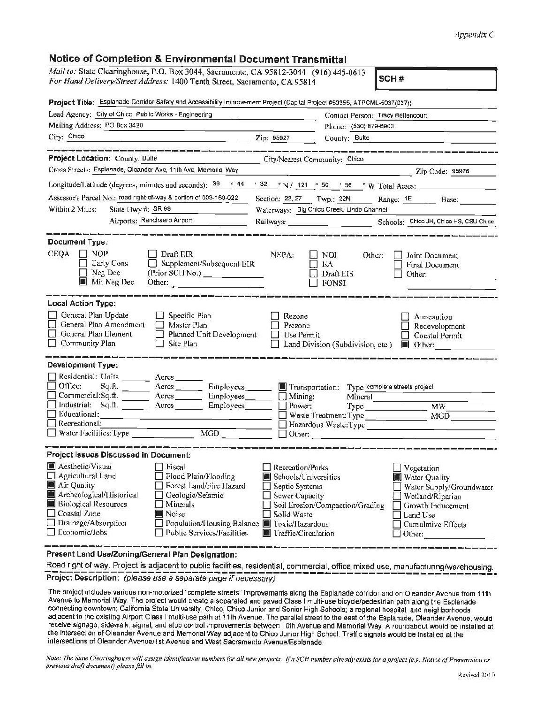## *Appendix C*

| Notice of Completion & Environmental Document Transmittal                                                                                                                                                                                                                                                                                                                            |                                                                                                                                                       |                                                                                                                                              |
|--------------------------------------------------------------------------------------------------------------------------------------------------------------------------------------------------------------------------------------------------------------------------------------------------------------------------------------------------------------------------------------|-------------------------------------------------------------------------------------------------------------------------------------------------------|----------------------------------------------------------------------------------------------------------------------------------------------|
| Mail to: State Clearinghouse, P.O. Box 3044, Sacramento, CA 95812-3044 (916) 445-0613<br>For Hand Delivery/Street Address: 1400 Tenth Street, Sacramento, CA 95814                                                                                                                                                                                                                   |                                                                                                                                                       | SCH#                                                                                                                                         |
| Project Title: Esplanade Corridor Safety and Accessibility Improvement Project (Capilal Project #50355, ATPCML-5037(037))                                                                                                                                                                                                                                                            |                                                                                                                                                       |                                                                                                                                              |
| Lead Agency: City of Chico, Public Works - Engineering                                                                                                                                                                                                                                                                                                                               |                                                                                                                                                       | Contact Person: Tracy Bettencourt                                                                                                            |
| Mailing Address: PO Box 3420                                                                                                                                                                                                                                                                                                                                                         | Phone: (530) 879-6903                                                                                                                                 |                                                                                                                                              |
| City: Chico<br><u>2ip: 95927</u>                                                                                                                                                                                                                                                                                                                                                     | County: Butte                                                                                                                                         |                                                                                                                                              |
|                                                                                                                                                                                                                                                                                                                                                                                      |                                                                                                                                                       |                                                                                                                                              |
| <b>Project Location: County: Butte</b>                                                                                                                                                                                                                                                                                                                                               | City/Nearest Community: Chico                                                                                                                         |                                                                                                                                              |
| Cross Streets: Esplanade, Oleander Ave, 11th Ave, Memorial Way                                                                                                                                                                                                                                                                                                                       |                                                                                                                                                       | Zip Code: 95926                                                                                                                              |
| Longitude/Latitude (degrees, minutes and seconds): $\frac{39}{9}$ $\frac{44}{9}$ $\frac{32}{9}$ $\frac{44}{9}$ N / 121 $\degree$ 50 $\degree$ 56 $\degree$ W Total Acres:                                                                                                                                                                                                            |                                                                                                                                                       |                                                                                                                                              |
| Assessor's Parcel No.: road right-of-way & portion of 003-180-022                                                                                                                                                                                                                                                                                                                    | Section: 22, 27 Twp.: 22N                                                                                                                             | Range: 1E Base:                                                                                                                              |
| Within 2 Miles:<br>State Hwy #: SR 99                                                                                                                                                                                                                                                                                                                                                | Waterways: Big Chico Creek, Lindo Channel                                                                                                             |                                                                                                                                              |
| Airports: Ranchaero Airport                                                                                                                                                                                                                                                                                                                                                          |                                                                                                                                                       |                                                                                                                                              |
| <b>Document Type:</b>                                                                                                                                                                                                                                                                                                                                                                |                                                                                                                                                       |                                                                                                                                              |
| CEQA:<br>NOP<br>Draft EIR<br>Early Cons<br>Supplement/Subsequent EIR<br>Neg Dec<br>(Prior SCH No.) ______________<br>Mit Neg Dec<br>Other: $\qquad \qquad$                                                                                                                                                                                                                           | NEPA:<br>NOI.<br>Other:<br>EΛ<br>Draft EIS<br>$\Box$ FONSI                                                                                            | Joint Document<br>Final Document<br>Other:                                                                                                   |
| <b>Local Action Type:</b>                                                                                                                                                                                                                                                                                                                                                            |                                                                                                                                                       |                                                                                                                                              |
| General Plan Update<br>$\Box$ Specific Plan<br>General Plan Amendment<br>$\Box$ Master Plan<br>General Plan Element<br>$\Box$ Planned Unit Development<br>Community Plan<br>Site Plan                                                                                                                                                                                                | Rezone<br>Prezone<br>Use Permit<br>Land Division (Subdivision, etc.)                                                                                  | Annexation<br>Redevelopment<br>Coastal Permit<br>$\blacksquare$ Other:                                                                       |
| <b>Development Type:</b>                                                                                                                                                                                                                                                                                                                                                             |                                                                                                                                                       |                                                                                                                                              |
| Residential: Units _________ Aeres _______<br>Office:<br>Employees_<br>Commercial:Sq.ft. Acres Employees<br>Employees<br>Educational:<br>Recreational:<br>$\Box$ Water Facilities: Type<br>$\overline{MGD}$                                                                                                                                                                          | Transportation:<br>$\Box$ Mining:<br>$\Box$ Power:<br>Waste Treatment: Type<br>$\Box$ Other:                                                          | Type complete streets project<br>Mineral <sub>______</sub> ____<br>Type MW<br>MGD <b>MGD</b><br>Hazardous Waste: Type                        |
| <b>Project Issues Discussed in Document:</b>                                                                                                                                                                                                                                                                                                                                         |                                                                                                                                                       |                                                                                                                                              |
| <b>Aesthetic/Visual</b><br>Fiscal<br>Agricultural Land<br>Flood Plain/Flooding<br>Air Quality<br>Forest Land/Fire Hazard<br>W<br>Archeological/Historical<br>Geologic/Seismic<br><b>Biological Resources</b><br>Minerals<br>Ш<br>$\Box$ Coastal Zone<br>Noise<br>Drainage/Absorption<br>Population/Housing Balance 10 Toxic/Hazardous<br>Economic/Jobs<br>Public Services/Facilities | Recreation/Parks<br>Schools/Universities<br>Septic Systems<br>Sewer Capacity<br>Soil Erosion/Compaction/Grading<br>Solid Waste<br>Traffic/Circulation | Vegetation<br>Water Quality<br>Water Supply/Groundwater<br>Wetland/Riparian<br>Growth Inducement<br>Land Use<br>Cumulative Effects<br>Other: |

Present Land Use/Zoning/General Plan Designation:

Road right of way. Project is adjacent to public facilities, residential, commercial, office mixed use, manufacturing/warehousing.<br>Project Description: (please use a separate page if necessary)

The project includes various non-motorized "complete streets" improvements along the Esplanade corridor and on Oleander Avenue from 11th Avenue to Memorial Way. The project would create a separated and paved Class I multi-use bicycle/peciestrian path along the Esplanade connecting downtown; California State University, Chico; Chico Junior and Senior High Schools; a regional hospltal; and neighborhoods adjacent to the existing Airport Class I multi-use path at 11th Avenue. The parallel street to the east of the Esplanade, Oleander Avenue, would receive signage, sidewalk, signal, and stop control improvements between 10th Avenue and Memorial Way. A roundabout would be installed al the intersection of Oleander Avenue and Memorial **Way** adjacent to Chico Junior High School. Traffic signals woulci be installed at the intersections of Oleander Avenue/1st Avenue and West Sacramento Avenue/Esplanade.

*Note: The State Clearinghouse will assign identification numbers for all new projects. If a SCH number already exists for a project (e.g. Notice of Preparation or previous draj/ dncumenl) please fill in.*